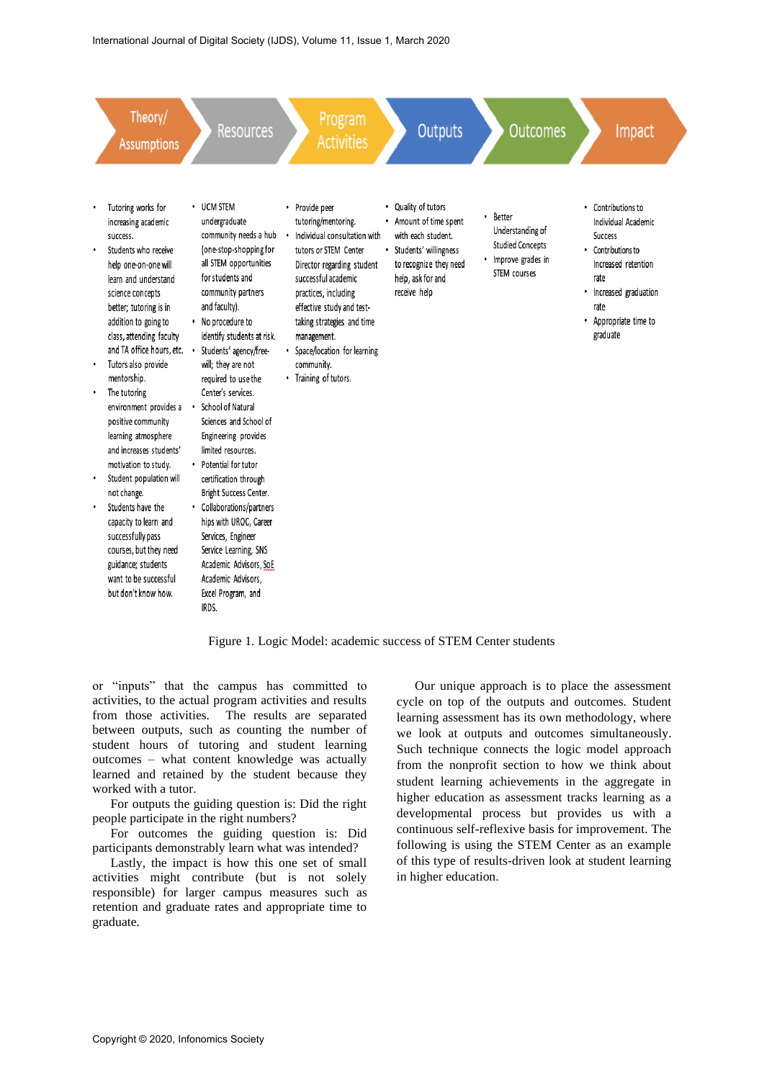

Figure 1. Logic Model: academic success of STEM Center students

or "inputs" that the campus has committed to activities, to the actual program activities and results from those activities. The results are separated between outputs, such as counting the number of student hours of tutoring and student learning outcomes – what content knowledge was actually learned and retained by the student because they worked with a tutor.

For outputs the guiding question is: Did the right people participate in the right numbers?

For outcomes the guiding question is: Did participants demonstrably learn what was intended?

Lastly, the impact is how this one set of small activities might contribute (but is not solely responsible) for larger campus measures such as retention and graduate rates and appropriate time to graduate.

Our unique approach is to place the assessment cycle on top of the outputs and outcomes. Student learning assessment has its own methodology, where we look at outputs and outcomes simultaneously. Such technique connects the logic model approach from the nonprofit section to how we think about student learning achievements in the aggregate in higher education as assessment tracks learning as a developmental process but provides us with a continuous self-reflexive basis for improvement. The following is using the STEM Center as an example of this type of results-driven look at student learning in higher education.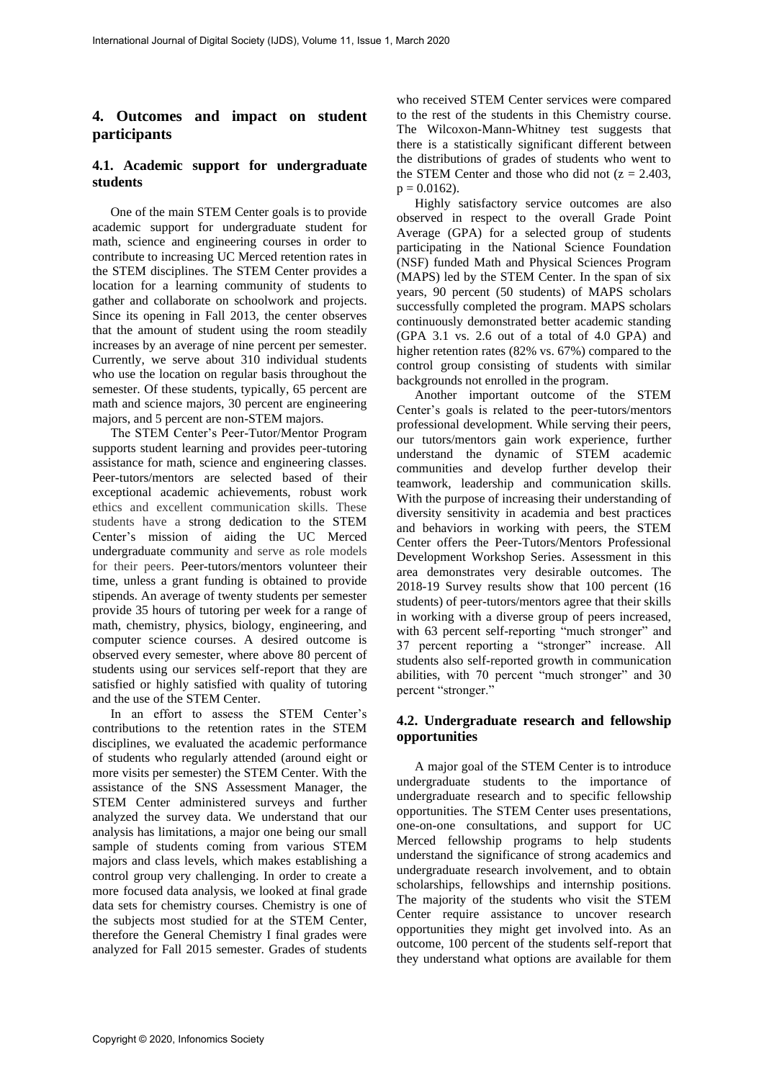# **4. Outcomes and impact on student participants**

# **4.1. Academic support for undergraduate students**

One of the main STEM Center goals is to provide academic support for undergraduate student for math, science and engineering courses in order to contribute to increasing UC Merced retention rates in the STEM disciplines. The STEM Center provides a location for a learning community of students to gather and collaborate on schoolwork and projects. Since its opening in Fall 2013, the center observes that the amount of student using the room steadily increases by an average of nine percent per semester. Currently, we serve about 310 individual students who use the location on regular basis throughout the semester. Of these students, typically, 65 percent are math and science majors, 30 percent are engineering majors, and 5 percent are non-STEM majors.

The STEM Center's Peer-Tutor/Mentor Program supports student learning and provides peer-tutoring assistance for math, science and engineering classes. Peer-tutors/mentors are selected based of their exceptional academic achievements, robust work ethics and excellent communication skills. These students have a strong dedication to the STEM Center's mission of aiding the UC Merced undergraduate community and serve as role models for their peers. Peer-tutors/mentors volunteer their time, unless a grant funding is obtained to provide stipends. An average of twenty students per semester provide 35 hours of tutoring per week for a range of math, chemistry, physics, biology, engineering, and computer science courses. A desired outcome is observed every semester, where above 80 percent of students using our services self-report that they are satisfied or highly satisfied with quality of tutoring and the use of the STEM Center.

In an effort to assess the STEM Center's contributions to the retention rates in the STEM disciplines, we evaluated the academic performance of students who regularly attended (around eight or more visits per semester) the STEM Center. With the assistance of the SNS Assessment Manager, the STEM Center administered surveys and further analyzed the survey data. We understand that our analysis has limitations, a major one being our small sample of students coming from various STEM majors and class levels, which makes establishing a control group very challenging. In order to create a more focused data analysis, we looked at final grade data sets for chemistry courses. Chemistry is one of the subjects most studied for at the STEM Center, therefore the General Chemistry I final grades were analyzed for Fall 2015 semester. Grades of students

who received STEM Center services were compared to the rest of the students in this Chemistry course. The Wilcoxon-Mann-Whitney test suggests that there is a statistically significant different between the distributions of grades of students who went to the STEM Center and those who did not  $(z = 2.403, ...)$  $p = 0.0162$ ).

Highly satisfactory service outcomes are also observed in respect to the overall Grade Point Average (GPA) for a selected group of students participating in the National Science Foundation (NSF) funded Math and Physical Sciences Program (MAPS) led by the STEM Center. In the span of six years, 90 percent (50 students) of MAPS scholars successfully completed the program. MAPS scholars continuously demonstrated better academic standing (GPA 3.1 vs. 2.6 out of a total of 4.0 GPA) and higher retention rates (82% vs. 67%) compared to the control group consisting of students with similar backgrounds not enrolled in the program.

Another important outcome of the STEM Center's goals is related to the peer-tutors/mentors professional development. While serving their peers, our tutors/mentors gain work experience, further understand the dynamic of STEM academic communities and develop further develop their teamwork, leadership and communication skills. With the purpose of increasing their understanding of diversity sensitivity in academia and best practices and behaviors in working with peers, the STEM Center offers the Peer-Tutors/Mentors Professional Development Workshop Series. Assessment in this area demonstrates very desirable outcomes. The 2018-19 Survey results show that 100 percent (16 students) of peer-tutors/mentors agree that their skills in working with a diverse group of peers increased, with 63 percent self-reporting "much stronger" and 37 percent reporting a "stronger" increase. All students also self-reported growth in communication abilities, with 70 percent "much stronger" and 30 percent "stronger."

# **4.2. Undergraduate research and fellowship opportunities**

A major goal of the STEM Center is to introduce undergraduate students to the importance of undergraduate research and to specific fellowship opportunities. The STEM Center uses presentations, one-on-one consultations, and support for UC Merced fellowship programs to help students understand the significance of strong academics and undergraduate research involvement, and to obtain scholarships, fellowships and internship positions. The majority of the students who visit the STEM Center require assistance to uncover research opportunities they might get involved into. As an outcome, 100 percent of the students self-report that they understand what options are available for them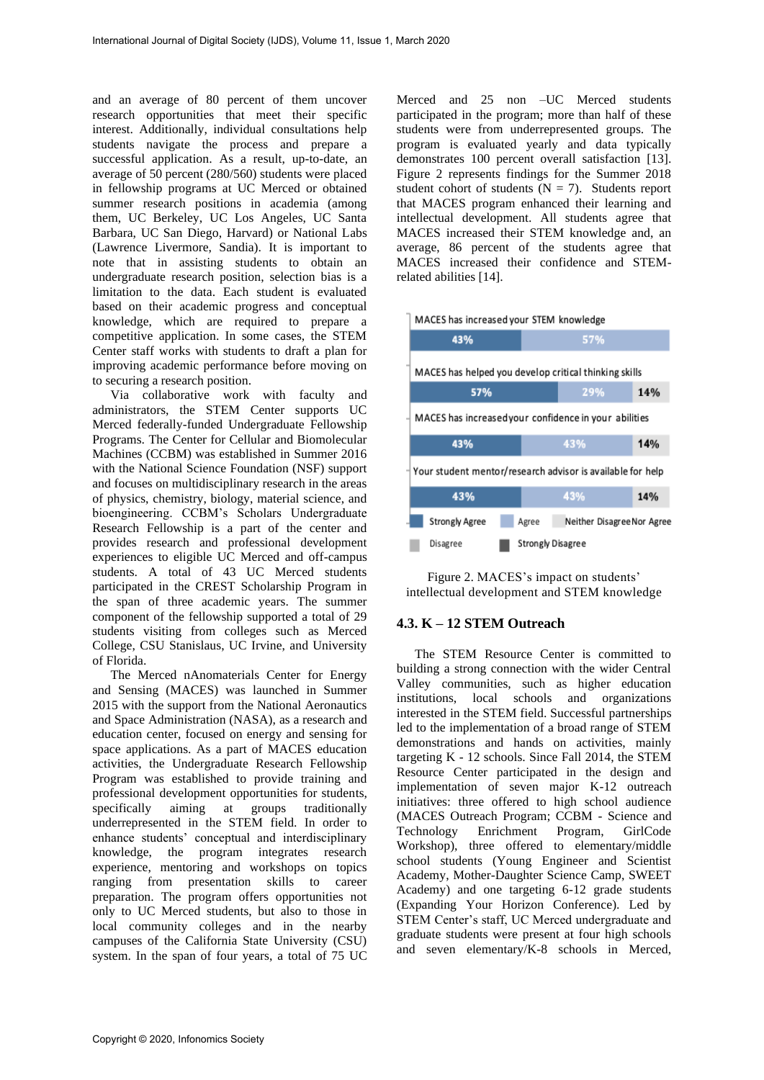and an average of 80 percent of them uncover research opportunities that meet their specific interest. Additionally, individual consultations help students navigate the process and prepare a successful application. As a result, up-to-date, an average of 50 percent (280/560) students were placed in fellowship programs at UC Merced or obtained summer research positions in academia (among them, UC Berkeley, UC Los Angeles, UC Santa Barbara, UC San Diego, Harvard) or National Labs (Lawrence Livermore, Sandia). It is important to note that in assisting students to obtain an undergraduate research position, selection bias is a limitation to the data. Each student is evaluated based on their academic progress and conceptual knowledge, which are required to prepare a competitive application. In some cases, the STEM Center staff works with students to draft a plan for improving academic performance before moving on to securing a research position.

Via collaborative work with faculty and administrators, the STEM Center supports UC Merced federally-funded Undergraduate Fellowship Programs. The Center for Cellular and Biomolecular Machines (CCBM) was established in Summer 2016 with the National Science Foundation (NSF) support and focuses on multidisciplinary research in the areas of physics, chemistry, biology, material science, and bioengineering. CCBM's Scholars Undergraduate Research Fellowship is a part of the center and provides research and professional development experiences to eligible UC Merced and off-campus students. A total of 43 UC Merced students participated in the CREST Scholarship Program in the span of three academic years. The summer component of the fellowship supported a total of 29 students visiting from colleges such as Merced College, CSU Stanislaus, UC Irvine, and University of Florida.

The Merced nAnomaterials Center for Energy and Sensing (MACES) was launched in Summer 2015 with the support from the National Aeronautics and Space Administration (NASA), as a research and education center, focused on energy and sensing for space applications. As a part of MACES education activities, the Undergraduate Research Fellowship Program was established to provide training and professional development opportunities for students, specifically aiming at groups traditionally underrepresented in the STEM field. In order to enhance students' conceptual and interdisciplinary knowledge, the program integrates research experience, mentoring and workshops on topics ranging from presentation skills to career preparation. The program offers opportunities not only to UC Merced students, but also to those in local community colleges and in the nearby campuses of the California State University (CSU) system. In the span of four years, a total of 75 UC

Merced and 25 non –UC Merced students participated in the program; more than half of these students were from underrepresented groups. The program is evaluated yearly and data typically demonstrates 100 percent overall satisfaction [13]. Figure 2 represents findings for the Summer 2018 student cohort of students  $(N = 7)$ . Students report that MACES program enhanced their learning and intellectual development. All students agree that MACES increased their STEM knowledge and, an average, 86 percent of the students agree that MACES increased their confidence and STEMrelated abilities [14].



| 43%                                                        | 57%                                 |     |
|------------------------------------------------------------|-------------------------------------|-----|
| MACES has helped you develop critical thinking skills      |                                     |     |
| 57%                                                        | 29%                                 | 14% |
| MACES has increasedyour confidence in your abilities       |                                     |     |
| 43%                                                        | 43%                                 | 14% |
| Your student mentor/research advisor is available for help |                                     |     |
| 43%                                                        | 43%                                 | 14% |
| <b>Strongly Agree</b>                                      | Agree<br>Neither Disagree Nor Agree |     |
| Disagree                                                   | <b>Strongly Disagree</b>            |     |

Figure 2. MACES's impact on students' intellectual development and STEM knowledge

#### **4.3. K – 12 STEM Outreach**

The STEM Resource Center is committed to building a strong connection with the wider Central Valley communities, such as higher education institutions, local schools and organizations interested in the STEM field. Successful partnerships led to the implementation of a broad range of STEM demonstrations and hands on activities, mainly targeting K - 12 schools. Since Fall 2014, the STEM Resource Center participated in the design and implementation of seven major K-12 outreach initiatives: three offered to high school audience (MACES Outreach Program; CCBM - Science and Technology Enrichment Program, GirlCode Workshop), three offered to elementary/middle school students (Young Engineer and Scientist Academy, Mother-Daughter Science Camp, SWEET Academy) and one targeting 6-12 grade students (Expanding Your Horizon Conference). Led by STEM Center's staff, UC Merced undergraduate and graduate students were present at four high schools and seven elementary/K-8 schools in Merced,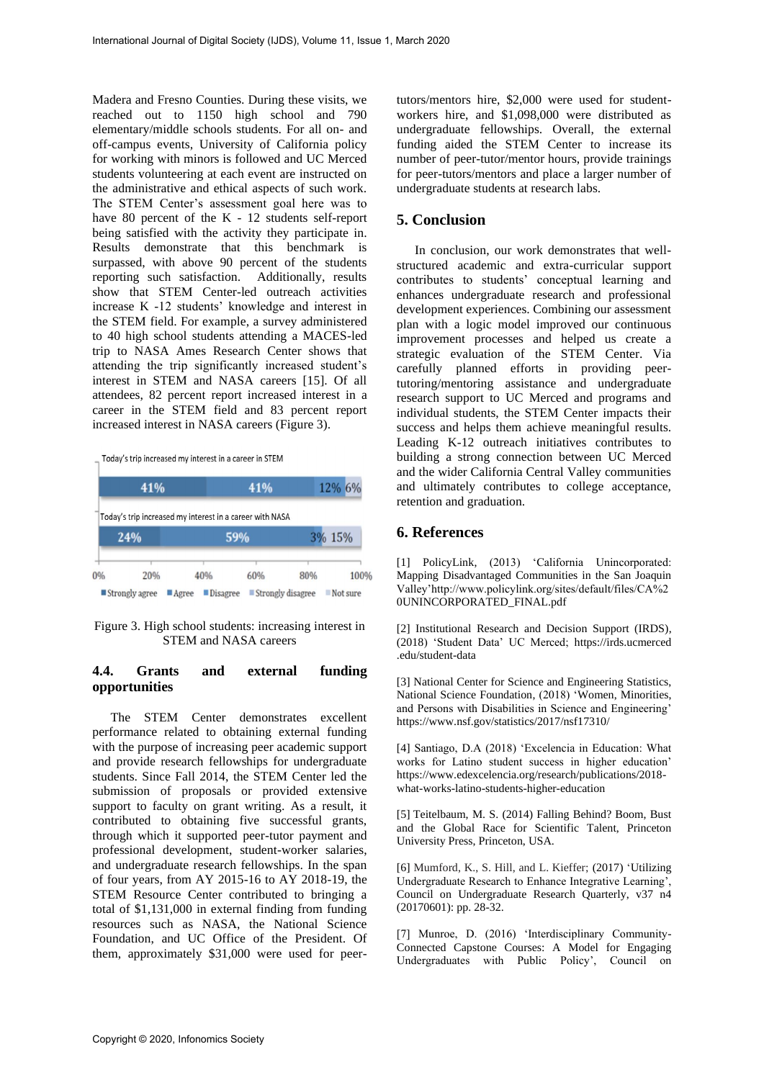Madera and Fresno Counties. During these visits, we reached out to 1150 high school and 790 elementary/middle schools students. For all on- and off-campus events, University of California policy for working with minors is followed and UC Merced students volunteering at each event are instructed on the administrative and ethical aspects of such work. The STEM Center's assessment goal here was to have 80 percent of the K - 12 students self-report being satisfied with the activity they participate in. Results demonstrate that this benchmark is surpassed, with above 90 percent of the students reporting such satisfaction. Additionally, results show that STEM Center-led outreach activities increase K -12 students' knowledge and interest in the STEM field. For example, a survey administered to 40 high school students attending a MACES-led trip to NASA Ames Research Center shows that attending the trip significantly increased student's interest in STEM and NASA careers [15]. Of all attendees, 82 percent report increased interest in a career in the STEM field and 83 percent report increased interest in NASA careers (Figure 3).

Today's trip increased my interest in a career in STEM



Figure 3. High school students: increasing interest in STEM and NASA careers

#### **4.4. Grants and external funding opportunities**

The STEM Center demonstrates excellent performance related to obtaining external funding with the purpose of increasing peer academic support and provide research fellowships for undergraduate students. Since Fall 2014, the STEM Center led the submission of proposals or provided extensive support to faculty on grant writing. As a result, it contributed to obtaining five successful grants, through which it supported peer-tutor payment and professional development, student-worker salaries, and undergraduate research fellowships. In the span of four years, from AY 2015-16 to AY 2018-19, the STEM Resource Center contributed to bringing a total of \$1,131,000 in external finding from funding resources such as NASA, the National Science Foundation, and UC Office of the President. Of them, approximately \$31,000 were used for peertutors/mentors hire, \$2,000 were used for studentworkers hire, and \$1,098,000 were distributed as undergraduate fellowships. Overall, the external funding aided the STEM Center to increase its number of peer-tutor/mentor hours, provide trainings for peer-tutors/mentors and place a larger number of undergraduate students at research labs.

# **5. Conclusion**

In conclusion, our work demonstrates that wellstructured academic and extra-curricular support contributes to students' conceptual learning and enhances undergraduate research and professional development experiences. Combining our assessment plan with a logic model improved our continuous improvement processes and helped us create a strategic evaluation of the STEM Center. Via carefully planned efforts in providing peertutoring/mentoring assistance and undergraduate research support to UC Merced and programs and individual students, the STEM Center impacts their success and helps them achieve meaningful results. Leading K-12 outreach initiatives contributes to building a strong connection between UC Merced and the wider California Central Valley communities and ultimately contributes to college acceptance, retention and graduation.

#### **6. References**

[1] PolicyLink, (2013) 'California Unincorporated: Mapping Disadvantaged Communities in the San Joaquin Valley'http://www.policylink.org/sites/default/files/CA%2 0UNINCORPORATED\_FINAL.pdf

[2] Institutional Research and Decision Support (IRDS), (2018) 'Student Data' UC Merced; https://irds.ucmerced .edu/student-data

[3] National Center for Science and Engineering Statistics, National Science Foundation, (2018) 'Women, Minorities, and Persons with Disabilities in Science and Engineering' https://www.nsf.gov/statistics/2017/nsf17310/

[4] Santiago, D.A (2018) 'Excelencia in Education: What works for Latino student success in higher education' https://www.edexcelencia.org/research/publications/2018 what-works-latino-students-higher-education

[5] Teitelbaum, M. S. (2014) Falling Behind? Boom, Bust and the Global Race for Scientific Talent, Princeton University Press, Princeton, USA.

[6] Mumford, K., S. Hill, and L. Kieffer; (2017) 'Utilizing Undergraduate Research to Enhance Integrative Learning', Council on Undergraduate Research Quarterly, v37 n4 (20170601): pp. 28-32.

[7] Munroe, D. (2016) 'Interdisciplinary Community-Connected Capstone Courses: A Model for Engaging Undergraduates with Public Policy', Council on